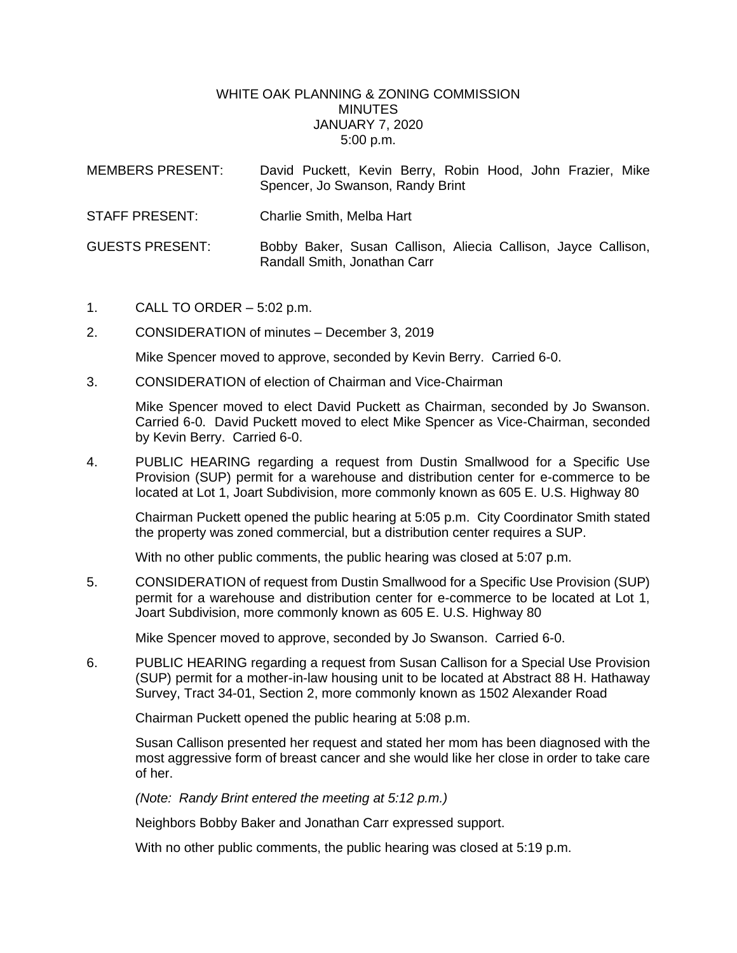## WHITE OAK PLANNING & ZONING COMMISSION MINUTES JANUARY 7, 2020 5:00 p.m.

| MEMBERS PRESENT:       | David Puckett, Kevin Berry, Robin Hood, John Frazier, Mike<br>Spencer, Jo Swanson, Randy Brint |
|------------------------|------------------------------------------------------------------------------------------------|
| <b>STAFF PRESENT:</b>  | Charlie Smith, Melba Hart                                                                      |
| <b>GUESTS PRESENT:</b> | Bobby Baker, Susan Callison, Aliecia Callison, Jayce Callison,<br>Randall Smith, Jonathan Carr |

- 1. CALL TO ORDER 5:02 p.m.
- 2. CONSIDERATION of minutes December 3, 2019

Mike Spencer moved to approve, seconded by Kevin Berry. Carried 6-0.

3. CONSIDERATION of election of Chairman and Vice-Chairman

Mike Spencer moved to elect David Puckett as Chairman, seconded by Jo Swanson. Carried 6-0. David Puckett moved to elect Mike Spencer as Vice-Chairman, seconded by Kevin Berry. Carried 6-0.

4. PUBLIC HEARING regarding a request from Dustin Smallwood for a Specific Use Provision (SUP) permit for a warehouse and distribution center for e-commerce to be located at Lot 1, Joart Subdivision, more commonly known as 605 E. U.S. Highway 80

Chairman Puckett opened the public hearing at 5:05 p.m. City Coordinator Smith stated the property was zoned commercial, but a distribution center requires a SUP.

With no other public comments, the public hearing was closed at 5:07 p.m.

5. CONSIDERATION of request from Dustin Smallwood for a Specific Use Provision (SUP) permit for a warehouse and distribution center for e-commerce to be located at Lot 1, Joart Subdivision, more commonly known as 605 E. U.S. Highway 80

Mike Spencer moved to approve, seconded by Jo Swanson. Carried 6-0.

6. PUBLIC HEARING regarding a request from Susan Callison for a Special Use Provision (SUP) permit for a mother-in-law housing unit to be located at Abstract 88 H. Hathaway Survey, Tract 34-01, Section 2, more commonly known as 1502 Alexander Road

Chairman Puckett opened the public hearing at 5:08 p.m.

Susan Callison presented her request and stated her mom has been diagnosed with the most aggressive form of breast cancer and she would like her close in order to take care of her.

*(Note: Randy Brint entered the meeting at 5:12 p.m.)*

Neighbors Bobby Baker and Jonathan Carr expressed support.

With no other public comments, the public hearing was closed at 5:19 p.m.